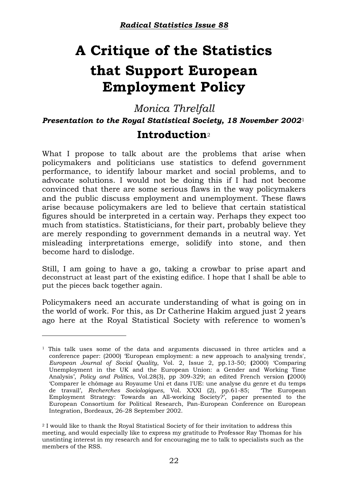# **A Critique of the Statistics that Support European Employment Policy**

*Monica Threlfall Presentation to the Royal Statistical Society, 18 November 2002*[1](#page-0-0)

## **Introduction**[2](#page-0-1)

What I propose to talk about are the problems that arise when policymakers and politicians use statistics to defend government performance, to identify labour market and social problems, and to advocate solutions. I would not be doing this if I had not become convinced that there are some serious flaws in the way policymakers and the public discuss employment and unemployment. These flaws arise because policymakers are led to believe that certain statistical figures should be interpreted in a certain way. Perhaps they expect too much from statistics. Statisticians, for their part, probably believe they are merely responding to government demands in a neutral way. Yet misleading interpretations emerge, solidify into stone, and then become hard to dislodge.

Still, I am going to have a go, taking a crowbar to prise apart and deconstruct at least part of the existing edifice. I hope that I shall be able to put the pieces back together again.

Policymakers need an accurate understanding of what is going on in the world of work. For this, as Dr Catherine Hakim argued just 2 years ago here at the Royal Statistical Society with reference to women's

-

<span id="page-0-0"></span> $1$  This talk uses some of the data and arguments discussed in three articles and a conference paper: (2000) 'European employment: a new approach to analysing trends', *European Journal of Social Quality*, Vol. 2, Issue 2, pp.13-50; **(**2000) 'Comparing Unemployment in the UK and the European Union: a Gender and Working Time Analysis', *Policy and Politics*, Vol.28(3), pp 309-329; an edited French version **(**2000) 'Comparer le chômage au Royaume Uni et dans l'UE: une analyse du genre et du temps de travail', *Recherches Sociologiques*, Vol. XXXI (2), pp.61-85; 'The European Employment Strategy: Towards an All-working Society?', paper presented to the European Consortium for Political Research, Pan-European Conference on European Integration, Bordeaux, 26-28 September 2002.

<span id="page-0-1"></span><sup>2</sup> I would like to thank the Royal Statistical Society of for their invitation to address this meeting, and would especially like to express my gratitude to Professor Ray Thomas for his unstinting interest in my research and for encouraging me to talk to specialists such as the members of the RSS.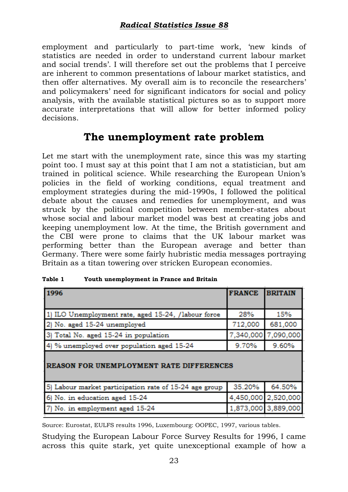employment and particularly to part-time work, 'new kinds of statistics are needed in order to understand current labour market and social trends'. I will therefore set out the problems that I perceive are inherent to common presentations of labour market statistics, and then offer alternatives. My overall aim is to reconcile the researchers' and policymakers' need for significant indicators for social and policy analysis, with the available statistical pictures so as to support more accurate interpretations that will allow for better informed policy decisions.

# **The unemployment rate problem**

Let me start with the unemployment rate, since this was my starting point too. I must say at this point that I am not a statistician, but am trained in political science. While researching the European Union's policies in the field of working conditions, equal treatment and employment strategies during the mid-1990s, I followed the political debate about the causes and remedies for unemployment, and was struck by the political competition between member-states about whose social and labour market model was best at creating jobs and keeping unemployment low. At the time, the British government and the CBI were prone to claims that the UK labour market was performing better than the European average and better than Germany. There were some fairly hubristic media messages portraying Britain as a titan towering over stricken European economies.

| 1996                                                   | <b>FRANCE</b> | <b>BRITAIN</b>      |  |  |  |  |  |  |  |  |  |
|--------------------------------------------------------|---------------|---------------------|--|--|--|--|--|--|--|--|--|
|                                                        |               |                     |  |  |  |  |  |  |  |  |  |
| 1) ILO Unemployment rate, aged 15-24, /labour force    | 28%           | 15%                 |  |  |  |  |  |  |  |  |  |
| 2) No. aged 15-24 unemployed                           | 712,000       | 681,000             |  |  |  |  |  |  |  |  |  |
| 3) Total No. aged 15-24 in population                  | 7,340,000     | 7,090,000           |  |  |  |  |  |  |  |  |  |
| 4) % unemployed over population aged 15-24             | 9.70%         | 9.60%               |  |  |  |  |  |  |  |  |  |
|                                                        |               |                     |  |  |  |  |  |  |  |  |  |
| REASON FOR UNEMPLOYMENT RATE DIFFERENCES               |               |                     |  |  |  |  |  |  |  |  |  |
|                                                        |               |                     |  |  |  |  |  |  |  |  |  |
| 5) Labour market participation rate of 15-24 age group | 35.20%        | 64.50%              |  |  |  |  |  |  |  |  |  |
| 6) No. in education aged 15-24                         | 4,450,000     | 2,520,000           |  |  |  |  |  |  |  |  |  |
| 7) No. in employment aged 15-24                        |               | 1,873,000 3,889,000 |  |  |  |  |  |  |  |  |  |
|                                                        |               |                     |  |  |  |  |  |  |  |  |  |

**Table 1 Youth unemployment in France and Britain**

Source: Eurostat, EULFS results 1996, Luxembourg: OOPEC, 1997, various tables.

Studying the European Labour Force Survey Results for 1996, I came across this quite stark, yet quite unexceptional example of how a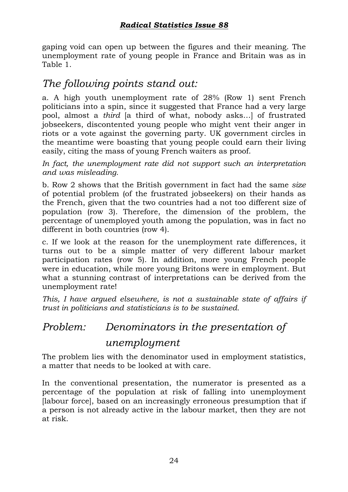gaping void can open up between the figures and their meaning. The unemployment rate of young people in France and Britain was as in Table 1.

# *The following points stand out:*

a. A high youth unemployment rate of 28% (Row 1) sent French politicians into a spin, since it suggested that France had a very large pool, almost a *third* [a third of what, nobody asks…] of frustrated jobseekers, discontented young people who might vent their anger in riots or a vote against the governing party. UK government circles in the meantime were boasting that young people could earn their living easily, citing the mass of young French waiters as proof.

*In fact, the unemployment rate did not support such an interpretation and was misleading.* 

b. Row 2 shows that the British government in fact had the same *size* of potential problem (of the frustrated jobseekers) on their hands as the French, given that the two countries had a not too different size of population (row 3). Therefore, the dimension of the problem, the percentage of unemployed youth among the population, was in fact no different in both countries (row 4).

c. If we look at the reason for the unemployment rate differences, it turns out to be a simple matter of very different labour market participation rates (row 5). In addition, more young French people were in education, while more young Britons were in employment. But what a stunning contrast of interpretations can be derived from the unemployment rate!

*This, I have argued elsewhere, is not a sustainable state of affairs if trust in politicians and statisticians is to be sustained.* 

## *Problem: Denominators in the presentation of*

### *unemployment*

The problem lies with the denominator used in employment statistics, a matter that needs to be looked at with care.

In the conventional presentation, the numerator is presented as a percentage of the population at risk of falling into unemployment [labour force], based on an increasingly erroneous presumption that if a person is not already active in the labour market, then they are not at risk.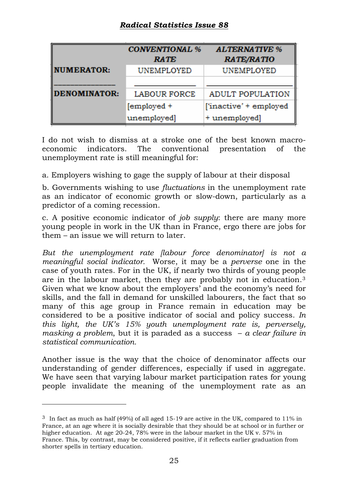|                     | <b>CONVENTIONAL %</b> | <b>ALTERNATIVE %</b>    |  |  |  |  |
|---------------------|-----------------------|-------------------------|--|--|--|--|
|                     | <b>RATE</b>           | <b>RATE/RATIO</b>       |  |  |  |  |
| <b>NUMERATOR:</b>   | <b>UNEMPLOYED</b>     | UNEMPLOYED              |  |  |  |  |
|                     |                       |                         |  |  |  |  |
| <b>DENOMINATOR:</b> | <b>LABOUR FORCE</b>   | <b>ADULT POPULATION</b> |  |  |  |  |
|                     | [employed +           | ['inactive' + employed  |  |  |  |  |
|                     | unemployed]           | + unemployed]           |  |  |  |  |

I do not wish to dismiss at a stroke one of the best known macroeconomic indicators. The conventional presentation of the unemployment rate is still meaningful for:

a. Employers wishing to gage the supply of labour at their disposal

b. Governments wishing to use *fluctuations* in the unemployment rate as an indicator of economic growth or slow-down, particularly as a predictor of a coming recession.

c. A positive economic indicator of *job supply*: there are many more young people in work in the UK than in France, ergo there are jobs for them – an issue we will return to later.

*But the unemployment rate [labour force denominator] is not a meaningful social indicator.* Worse, it may be a *perverse* one in the case of youth rates. For in the UK, if nearly two thirds of young people are in the labour market, then they are probably not in education.[3](#page-3-0) Given what we know about the employers' and the economy's need for skills, and the fall in demand for unskilled labourers, the fact that so many of this age group in France remain in education may be considered to be a positive indicator of social and policy success. *In this light, the UK's 15% youth unemployment rate is, perversely, masking a problem*, but it is paraded as a success – *a clear failure in statistical communication.* 

Another issue is the way that the choice of denominator affects our understanding of gender differences, especially if used in aggregate. We have seen that varying labour market participation rates for young people invalidate the meaning of the unemployment rate as an

 $\overline{a}$ 

<span id="page-3-0"></span> $3\,$  In fact as much as half (49%) of all aged 15-19 are active in the UK, compared to 11% in France, at an age where it is socially desirable that they should be at school or in further or higher education. At age 20-24, 78% were in the labour market in the UK v. 57% in France. This, by contrast, may be considered positive, if it reflects earlier graduation from shorter spells in tertiary education.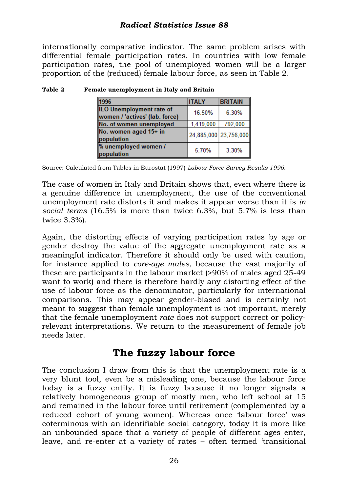internationally comparative indicator. The same problem arises with differential female participation rates. In countries with low female participation rates, the pool of unemployed women will be a larger proportion of the (reduced) female labour force, as seen in Table 2.

| 1996                                                       | <b>ITALY</b>          | <b>BRITAIN</b> |
|------------------------------------------------------------|-----------------------|----------------|
| ILO Unemployment rate of<br>women / 'actives' (lab. force) | 16.50%                | 6.30%          |
| No. of women unemployed                                    | 1,419,000             | 792,000        |
| No. women aged 15+ in<br>population                        | 24,885,000 23,756,000 |                |
| % unemployed women /<br>population                         | 5.70%                 | 3.30%          |

#### **Table 2 Female unemployment in Italy and Britain**

Source: Calculated from Tables in Eurostat (1997) *Labour Force Survey Results 1996.* 

The case of women in Italy and Britain shows that, even where there is a genuine difference in unemployment, the use of the conventional unemployment rate distorts it and makes it appear worse than it is *in social terms* (16.5% is more than twice 6.3%, but 5.7% is less than twice 3.3%).

Again, the distorting effects of varying participation rates by age or gender destroy the value of the aggregate unemployment rate as a meaningful indicator. Therefore it should only be used with caution, for instance applied to *core-age males*, because the vast majority of these are participants in the labour market (>90% of males aged 25-49 want to work) and there is therefore hardly any distorting effect of the use of labour force as the denominator, particularly for international comparisons. This may appear gender-biased and is certainly not meant to suggest than female unemployment is not important, merely that the female unemployment *rate* does not support correct or policyrelevant interpretations. We return to the measurement of female job needs later.

## **The fuzzy labour force**

The conclusion I draw from this is that the unemployment rate is a very blunt tool, even be a misleading one, because the labour force today is a fuzzy entity. It is fuzzy because it no longer signals a relatively homogeneous group of mostly men, who left school at 15 and remained in the labour force until retirement (complemented by a reduced cohort of young women). Whereas once 'labour force' was coterminous with an identifiable social category, today it is more like an unbounded space that a variety of people of different ages enter, leave, and re-enter at a variety of rates – often termed 'transitional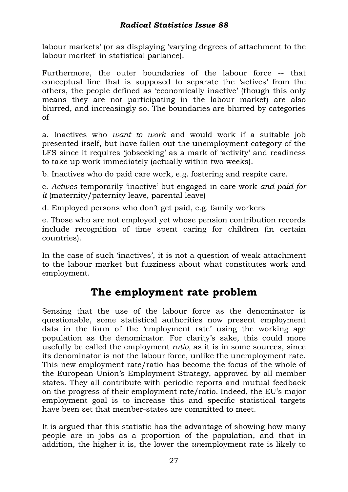labour markets' (or as displaying 'varying degrees of attachment to the labour market' in statistical parlance).

Furthermore, the outer boundaries of the labour force -- that conceptual line that is supposed to separate the 'actives' from the others, the people defined as 'economically inactive' (though this only means they are not participating in the labour market) are also blurred, and increasingly so. The boundaries are blurred by categories of

a. Inactives who *want to work* and would work if a suitable job presented itself, but have fallen out the unemployment category of the LFS since it requires 'jobseeking' as a mark of 'activity' and readiness to take up work immediately (actually within two weeks).

b. Inactives who do paid care work, e.g. fostering and respite care.

c. *Actives* temporarily 'inactive' but engaged in care work *and paid for it* (maternity/paternity leave, parental leave)

d. Employed persons who don't get paid, e.g. family workers

e. Those who are not employed yet whose pension contribution records include recognition of time spent caring for children (in certain countries).

In the case of such 'inactives', it is not a question of weak attachment to the labour market but fuzziness about what constitutes work and employment.

# **The employment rate problem**

Sensing that the use of the labour force as the denominator is questionable, some statistical authorities now present employment data in the form of the 'employment rate' using the working age population as the denominator. For clarity's sake, this could more usefully be called the employment *ratio,* as it is in some sources, since its denominator is not the labour force, unlike the unemployment rate. This new employment rate/ratio has become the focus of the whole of the European Union's Employment Strategy, approved by all member states. They all contribute with periodic reports and mutual feedback on the progress of their employment rate/ratio. Indeed, the EU's major employment goal is to increase this and specific statistical targets have been set that member-states are committed to meet.

It is argued that this statistic has the advantage of showing how many people are in jobs as a proportion of the population, and that in addition, the higher it is, the lower the *un*employment rate is likely to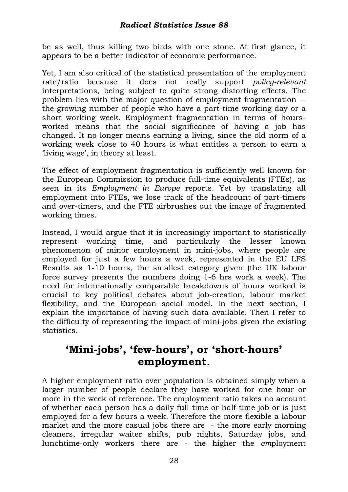be as well, thus killing two birds with one stone. At first glance, it appears to be a better indicator of economic performance.

Yet, I am also critical of the statistical presentation of the employment rate/ratio because it does not really support *policy-relevant* interpretations, being subject to quite strong distorting effects. The problem lies with the major question of employment fragmentation - the growing number of people who have a part-time working day or a short working week. Employment fragmentation in terms of hoursworked means that the social significance of having a job has changed. It no longer means earning a living, since the old norm of a working week close to 40 hours is what entitles a person to earn a 'living wage', in theory at least.

The effect of employment fragmentation is sufficiently well known for the European Commission to produce full-time equivalents (FTEs), as seen in its *Employment in Europe* reports. Yet by translating all employment into FTEs, we lose track of the headcount of part-timers and over-timers, and the FTE airbrushes out the image of fragmented working times.

Instead, I would argue that it is increasingly important to statistically represent working time, and particularly the lesser known phenomenon of minor employment in mini-jobs, where people are employed for just a few hours a week, represented in the EU LFS Results as 1-10 hours, the smallest category given (the UK labour force survey presents the numbers doing 1-6 hrs work a week). The need for internationally comparable breakdowns of hours worked is crucial to key political debates about job-creation, labour market flexibility, and the European social model. In the next section, I explain the importance of having such data available. Then I refer to the difficulty of representing the impact of mini-jobs given the existing statistics.

# **'Mini-jobs', 'few-hours', or 'short-hours' employment**.

A higher employment ratio over population is obtained simply when a larger number of people declare they have worked for one hour or more in the week of reference. The employment ratio takes no account of whether each person has a daily full-time or half-time job or is just employed for a few hours a week. Therefore the more flexible a labour market and the more casual jobs there are - the more early morning cleaners, irregular waiter shifts, pub nights, Saturday jobs, and lunchtime-only workers there are - the higher the *em*ployment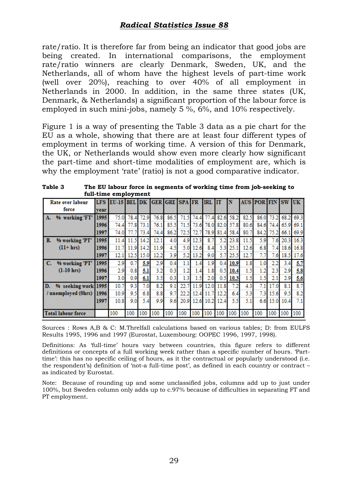rate/ratio. It is therefore far from being an indicator that good jobs are being created. In international comparisons, the employment rate/ratio winners are clearly Denmark, Sweden, UK, and the Netherlands, all of whom have the highest levels of part-time work (well over 20%), reaching to over 40% of all employment in Netherlands in 2000. In addition, in the same three states (UK, Denmark, & Netherlands) a significant proportion of the labour force is employed in such mini-jobs, namely 5 %, 6%, and 10% respectively.

Figure 1 is a way of presenting the Table 3 data as a pie chart for the EU as a whole, showing that there are at least four different types of employment in terms of working time. A version of this for Denmark, the UK, or Netherlands would show even more clearly how significant the part-time and short-time modalities of employment are, which is why the employment 'rate' (ratio) is not a good comparative indicator.

| Rate over labour          |      | LFS EU-15 BEL |      | <b>DK</b> |      | <b>GER GRE SPA FR</b> |      |      | <b>IRL</b> IT       |      |           |      | <b>AUS POR FIN SW UK</b> |      |      |      |
|---------------------------|------|---------------|------|-----------|------|-----------------------|------|------|---------------------|------|-----------|------|--------------------------|------|------|------|
| force                     | vear |               |      |           |      |                       |      |      |                     |      |           |      |                          |      |      |      |
| % working 'FT'<br>A.      | 1995 | 75.0          | 78.4 | 72.9      | 76.8 | 86.5                  | 71.5 | 74.4 | 774                 | 82.6 | 58.2      | 82.5 | 86.0                     | 73.2 | 68.2 | 69.3 |
|                           | 1996 | 74.4          | 77.8 | 73.1      | 76.1 | 85.5                  | 71.5 | 73.6 | 78.0                | 82.0 | 57.8      | 80.6 | 84.6                     | 74.4 | 65.9 | 69.1 |
|                           | 1997 | 74.0          |      | 73.4      | 74.4 | 86.2                  | 72.5 | 72.7 | 78.9                |      | 81.4 58.4 | 80.7 | 84.2                     | 75.2 | 66.1 | 69.9 |
| % working 'PT'<br>В.      | 1995 | 114           | 11.5 | 14.2      | 12.1 | 4.0                   | 4.9  | 12.3 | 87                  | 5.2  | 23.8      | 11.5 | 5.9                      | 7.6  | 20.3 | 16.3 |
| $(11+hrs)$                | 1996 | 11.7          | 11.9 | 14.2      | 11.9 | 4.5                   | 5.0  | 12.6 | 8.4                 | 5.3  | 25.1      | 12.6 | 6.8                      | 7.4  | 18.6 | 16.8 |
|                           | 1997 | 12.1          | 12.5 | 15.0      | 12.2 | 3.9                   | 5.2  | 13.2 | 9.0                 | 5.7  | 25.5      | 12.7 | 7.7                      | 7.6  | 18.5 | 17.6 |
| C.<br>% working 'PT'      | 1995 | 2.9           | 0.7  | 5.9       | 2.9  | 0.4                   | 1.1  | 1.4  | 1.9                 | 0.4  | 10.9      | 1.8  | 1.0                      | 2.2  | 3.4  | 5.7  |
| $(l-10)$ hrs)             | 1996 | 2.9           | 0.8  | 5.1       | 3.2  | 0.3                   | 1.2  | 1.4  | 1.8                 | 0.5  | 10.4      | 1.5  | 1.2                      | 2.3  | 2.9  | 5.8  |
|                           | 1997 | 3.0           | 0.9  | 6.1       | 3.5  | 0.3                   | 1.3  | 1.5  | $2.0\,$             | 0.5  | 10.3      | 1.5  | 1.5                      | 2.1  | 2.9  | 5.6  |
| % seeking work 1995<br>D. |      | 10.7          | 9.3  | 7.0       | 8.2  | 9.1                   | 22.  | 119  | 12.0                | 11.8 | 7.2       | 4.3  | 7.1                      | 17.0 | 8.1  | 8.7  |
| / unemployed (0hrs)       | 1996 | 10.9          | 9.5  | 6.8       | 8.8  | 9.7                   | 22.2 |      | 12.4 11.7 12.2      |      | 6.4       | 5.3  | 7.3                      | 15.6 | 9.5  | 8.2  |
|                           | 1997 | 10.8          | 9.0  | 5.4       | 9.9  | 9.6                   |      |      | 20.9 12.6 10.2 12.4 |      | 5.5       | 5.1  | 6.6                      | 15.0 | 10.4 | 7.1  |
|                           |      |               |      |           |      |                       |      |      |                     |      |           |      |                          |      |      |      |
| <b>Total labour force</b> |      | 100           | 100  | 100       | 100  | 100                   | 100  | 100  | 100                 | 100  | 100       | 100  | 100                      | 100  | 100  | 100  |

**Table 3 The EU labour force in segments of working time from job-seeking to full-time employment** 

Sources : Rows A,B & C: M.Threlfall calculations based on various tables; D: from EULFS Results 1995, 1996 and 1997 (Eurostat, Luxembourg: OOPEC 1996, 1997, 1998).

Definitions: As 'full-time' hours vary between countries, this figure refers to different definitions or concepts of a full working week rather than a specific number of hours. 'Parttime': this has no specific ceiling of hours, as it the contractual or popularly understood (i.e. the respondent's) definition of 'not-a full-time post', as defined in each country or contract – as indicated by Eurostat.

Note: Because of rounding up and some unclassified jobs, columns add up to just under 100%, but Sweden column only adds up to c.97% because of difficulties in separating FT and PT employment.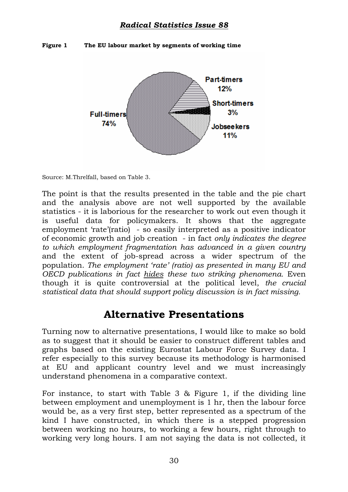**Figure 1 The EU labour market by segments of working time** 



Source: M.Threlfall, based on Table 3.

The point is that the results presented in the table and the pie chart and the analysis above are not well supported by the available statistics - it is laborious for the researcher to work out even though it is useful data for policymakers. It shows that the aggregate employment 'rate'(ratio) - so easily interpreted as a positive indicator of economic growth and job creation - in fact *only indicates the degree to which employment fragmentation has advanced in a given country*  and the extent of job-spread across a wider spectrum of the population. *The employment 'rate' (ratio) as presented in many EU and OECD publications in fact hides these two striking phenomena.* Even though it is quite controversial at the political level, *the crucial statistical data that should support policy discussion is in fact missing.* 

## **Alternative Presentations**

Turning now to alternative presentations, I would like to make so bold as to suggest that it should be easier to construct different tables and graphs based on the existing Eurostat Labour Force Survey data. I refer especially to this survey because its methodology is harmonised at EU and applicant country level and we must increasingly understand phenomena in a comparative context.

For instance, to start with Table 3 & Figure 1, if the dividing line between employment and unemployment is 1 hr, then the labour force would be, as a very first step, better represented as a spectrum of the kind I have constructed, in which there is a stepped progression between working no hours, to working a few hours, right through to working very long hours. I am not saying the data is not collected, it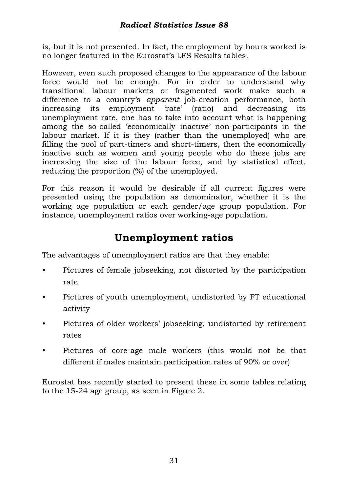is, but it is not presented. In fact, the employment by hours worked is no longer featured in the Eurostat's LFS Results tables.

However, even such proposed changes to the appearance of the labour force would not be enough. For in order to understand why transitional labour markets or fragmented work make such a difference to a country's *apparent* job-creation performance, both increasing its employment 'rate' (ratio) and decreasing its unemployment rate, one has to take into account what is happening among the so-called 'economically inactive' non-participants in the labour market. If it is they (rather than the unemployed) who are filling the pool of part-timers and short-timers, then the economically inactive such as women and young people who do these jobs are increasing the size of the labour force, and by statistical effect, reducing the proportion (%) of the unemployed.

For this reason it would be desirable if all current figures were presented using the population as denominator, whether it is the working age population or each gender/age group population. For instance, unemployment ratios over working-age population.

# **Unemployment ratios**

The advantages of unemployment ratios are that they enable:

- Pictures of female jobseeking, not distorted by the participation rate
- Pictures of youth unemployment, undistorted by FT educational activity
- Pictures of older workers' jobseeking, undistorted by retirement rates
- Pictures of core-age male workers (this would not be that different if males maintain participation rates of 90% or over)

Eurostat has recently started to present these in some tables relating to the 15-24 age group, as seen in Figure 2.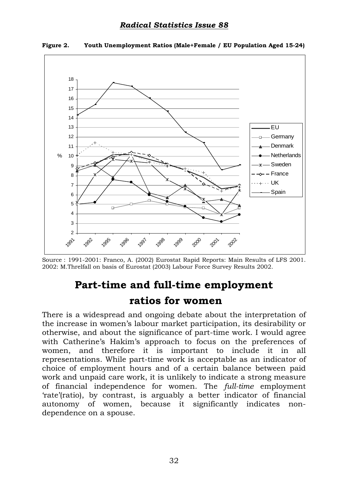

**Figure 2. Youth Unemployment Ratios (Male+Female / EU Population Aged 15-24)** 

Source : 1991-2001: Franco, A. (2002) Eurostat Rapid Reports: Main Results of LFS 2001. 2002: M.Threlfall on basis of Eurostat (2003) Labour Force Survey Results 2002.

# **Part-time and full-time employment**

# **ratios for women**

There is a widespread and ongoing debate about the interpretation of the increase in women's labour market participation, its desirability or otherwise, and about the significance of part-time work. I would agree with Catherine's Hakim's approach to focus on the preferences of women, and therefore it is important to include it in all representations. While part-time work is acceptable as an indicator of choice of employment hours and of a certain balance between paid work and unpaid care work, it is unlikely to indicate a strong measure of financial independence for women. The *full-time* employment 'rate'(ratio), by contrast, is arguably a better indicator of financial autonomy of women, because it significantly indicates nondependence on a spouse.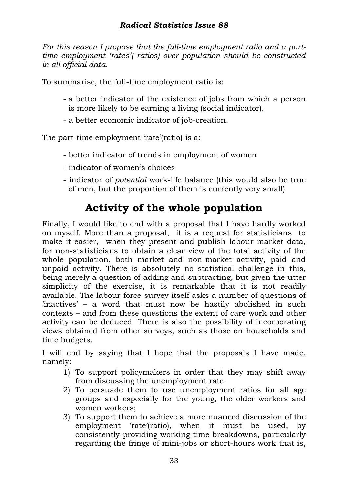*For this reason I propose that the full-time employment ratio and a parttime employment 'rates'( ratios) over population should be constructed in all official data.*

To summarise, the full-time employment ratio is:

- a better indicator of the existence of jobs from which a person is more likely to be earning a living (social indicator).
- a better economic indicator of job-creation.

The part-time employment 'rate'(ratio) is a:

- better indicator of trends in employment of women
- indicator of women's choices
- indicator of *potential* work-life balance (this would also be true of men, but the proportion of them is currently very small)

# **Activity of the whole population**

Finally, I would like to end with a proposal that I have hardly worked on myself. More than a proposal, it is a request for statisticians to make it easier, when they present and publish labour market data, for non-statisticians to obtain a clear view of the total activity of the whole population, both market and non-market activity, paid and unpaid activity. There is absolutely no statistical challenge in this, being merely a question of adding and subtracting, but given the utter simplicity of the exercise, it is remarkable that it is not readily available. The labour force survey itself asks a number of questions of 'inactives' – a word that must now be hastily abolished in such contexts – and from these questions the extent of care work and other activity can be deduced. There is also the possibility of incorporating views obtained from other surveys, such as those on households and time budgets.

I will end by saying that I hope that the proposals I have made, namely:

- 1) To support policymakers in order that they may shift away from discussing the unemployment rate
- 2) To persuade them to use unemployment ratios for all age groups and especially for the young, the older workers and women workers;
- 3) To support them to achieve a more nuanced discussion of the employment 'rate'(ratio), when it must be used, by consistently providing working time breakdowns, particularly regarding the fringe of mini-jobs or short-hours work that is,